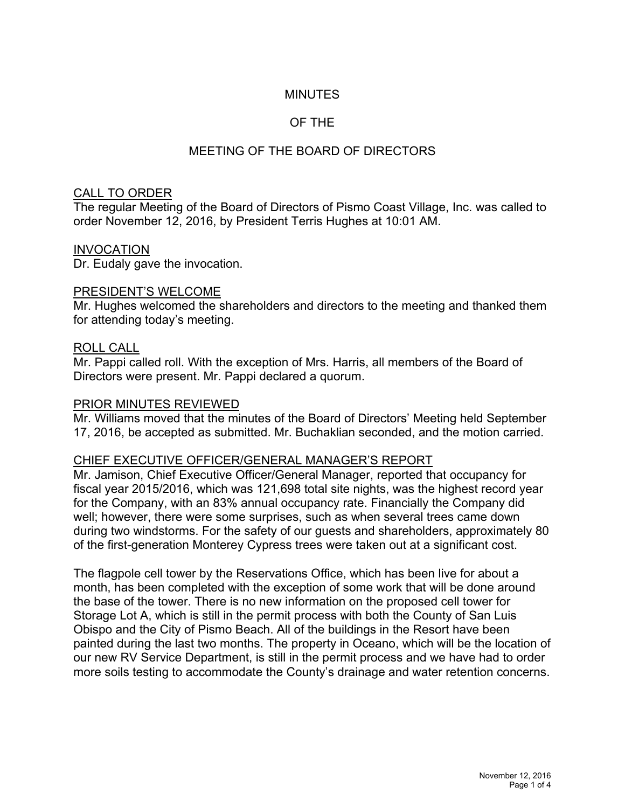## MINUTES

## OF THE

# MEETING OF THE BOARD OF DIRECTORS

## CALL TO ORDER

The regular Meeting of the Board of Directors of Pismo Coast Village, Inc. was called to order November 12, 2016, by President Terris Hughes at 10:01 AM.

#### INVOCATION

Dr. Eudaly gave the invocation.

#### PRESIDENT'S WELCOME

Mr. Hughes welcomed the shareholders and directors to the meeting and thanked them for attending today's meeting.

## ROLL CALL

Mr. Pappi called roll. With the exception of Mrs. Harris, all members of the Board of Directors were present. Mr. Pappi declared a quorum.

## PRIOR MINUTES REVIEWED

Mr. Williams moved that the minutes of the Board of Directors' Meeting held September 17, 2016, be accepted as submitted. Mr. Buchaklian seconded, and the motion carried.

#### CHIEF EXECUTIVE OFFICER/GENERAL MANAGER'S REPORT

Mr. Jamison, Chief Executive Officer/General Manager, reported that occupancy for fiscal year 2015/2016, which was 121,698 total site nights, was the highest record year for the Company, with an 83% annual occupancy rate. Financially the Company did well; however, there were some surprises, such as when several trees came down during two windstorms. For the safety of our guests and shareholders, approximately 80 of the first-generation Monterey Cypress trees were taken out at a significant cost.

The flagpole cell tower by the Reservations Office, which has been live for about a month, has been completed with the exception of some work that will be done around the base of the tower. There is no new information on the proposed cell tower for Storage Lot A, which is still in the permit process with both the County of San Luis Obispo and the City of Pismo Beach. All of the buildings in the Resort have been painted during the last two months. The property in Oceano, which will be the location of our new RV Service Department, is still in the permit process and we have had to order more soils testing to accommodate the County's drainage and water retention concerns.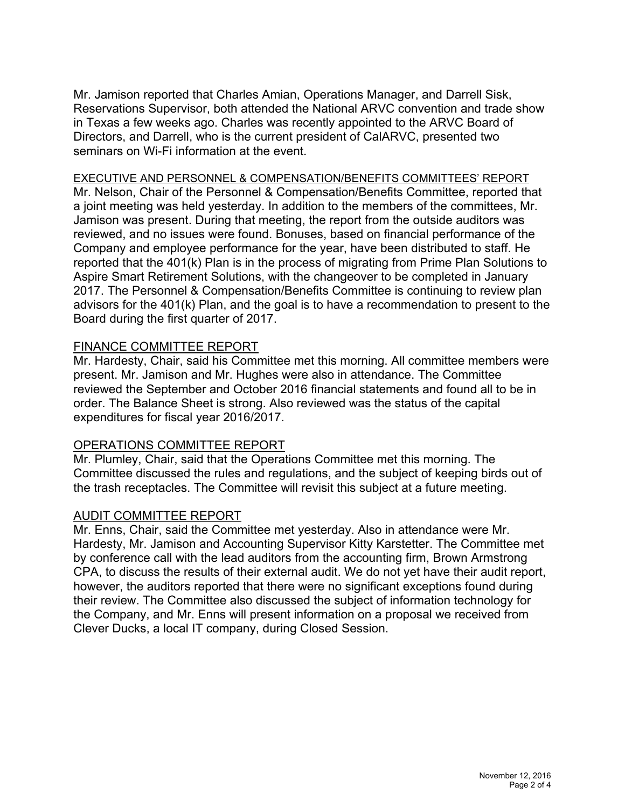Mr. Jamison reported that Charles Amian, Operations Manager, and Darrell Sisk, Reservations Supervisor, both attended the National ARVC convention and trade show in Texas a few weeks ago. Charles was recently appointed to the ARVC Board of Directors, and Darrell, who is the current president of CalARVC, presented two seminars on Wi-Fi information at the event.

#### EXECUTIVE AND PERSONNEL & COMPENSATION/BENEFITS COMMITTEES' REPORT

Mr. Nelson, Chair of the Personnel & Compensation/Benefits Committee, reported that a joint meeting was held yesterday. In addition to the members of the committees, Mr. Jamison was present. During that meeting, the report from the outside auditors was reviewed, and no issues were found. Bonuses, based on financial performance of the Company and employee performance for the year, have been distributed to staff. He reported that the 401(k) Plan is in the process of migrating from Prime Plan Solutions to Aspire Smart Retirement Solutions, with the changeover to be completed in January 2017. The Personnel & Compensation/Benefits Committee is continuing to review plan advisors for the 401(k) Plan, and the goal is to have a recommendation to present to the Board during the first quarter of 2017.

## FINANCE COMMITTEE REPORT

Mr. Hardesty, Chair, said his Committee met this morning. All committee members were present. Mr. Jamison and Mr. Hughes were also in attendance. The Committee reviewed the September and October 2016 financial statements and found all to be in order. The Balance Sheet is strong. Also reviewed was the status of the capital expenditures for fiscal year 2016/2017.

#### OPERATIONS COMMITTEE REPORT

Mr. Plumley, Chair, said that the Operations Committee met this morning. The Committee discussed the rules and regulations, and the subject of keeping birds out of the trash receptacles. The Committee will revisit this subject at a future meeting.

#### AUDIT COMMITTEE REPORT

Mr. Enns, Chair, said the Committee met yesterday. Also in attendance were Mr. Hardesty, Mr. Jamison and Accounting Supervisor Kitty Karstetter. The Committee met by conference call with the lead auditors from the accounting firm, Brown Armstrong CPA, to discuss the results of their external audit. We do not yet have their audit report, however, the auditors reported that there were no significant exceptions found during their review. The Committee also discussed the subject of information technology for the Company, and Mr. Enns will present information on a proposal we received from Clever Ducks, a local IT company, during Closed Session.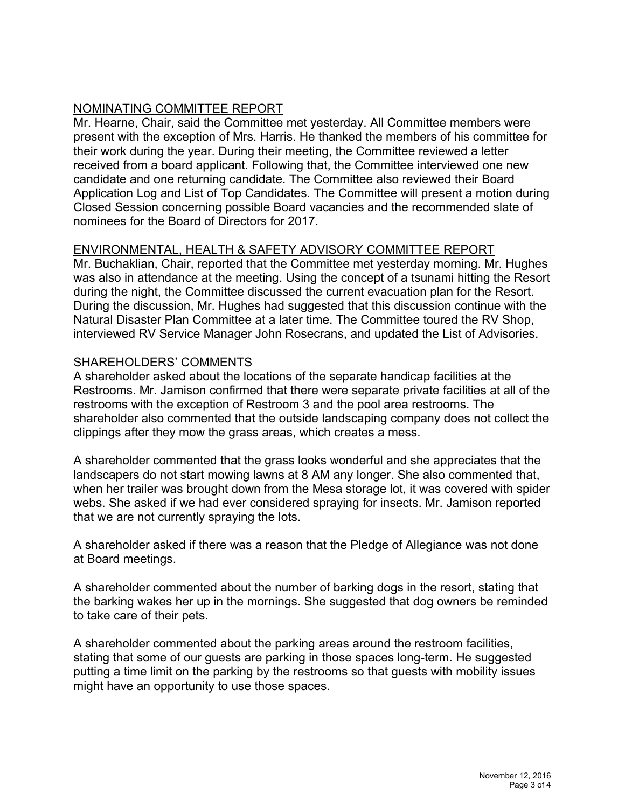# NOMINATING COMMITTEE REPORT

Mr. Hearne, Chair, said the Committee met yesterday. All Committee members were present with the exception of Mrs. Harris. He thanked the members of his committee for their work during the year. During their meeting, the Committee reviewed a letter received from a board applicant. Following that, the Committee interviewed one new candidate and one returning candidate. The Committee also reviewed their Board Application Log and List of Top Candidates. The Committee will present a motion during Closed Session concerning possible Board vacancies and the recommended slate of nominees for the Board of Directors for 2017.

# ENVIRONMENTAL, HEALTH & SAFETY ADVISORY COMMITTEE REPORT

Mr. Buchaklian, Chair, reported that the Committee met yesterday morning. Mr. Hughes was also in attendance at the meeting. Using the concept of a tsunami hitting the Resort during the night, the Committee discussed the current evacuation plan for the Resort. During the discussion, Mr. Hughes had suggested that this discussion continue with the Natural Disaster Plan Committee at a later time. The Committee toured the RV Shop, interviewed RV Service Manager John Rosecrans, and updated the List of Advisories.

## SHAREHOLDERS' COMMENTS

A shareholder asked about the locations of the separate handicap facilities at the Restrooms. Mr. Jamison confirmed that there were separate private facilities at all of the restrooms with the exception of Restroom 3 and the pool area restrooms. The shareholder also commented that the outside landscaping company does not collect the clippings after they mow the grass areas, which creates a mess.

A shareholder commented that the grass looks wonderful and she appreciates that the landscapers do not start mowing lawns at 8 AM any longer. She also commented that, when her trailer was brought down from the Mesa storage lot, it was covered with spider webs. She asked if we had ever considered spraying for insects. Mr. Jamison reported that we are not currently spraying the lots.

A shareholder asked if there was a reason that the Pledge of Allegiance was not done at Board meetings.

A shareholder commented about the number of barking dogs in the resort, stating that the barking wakes her up in the mornings. She suggested that dog owners be reminded to take care of their pets.

A shareholder commented about the parking areas around the restroom facilities, stating that some of our guests are parking in those spaces long-term. He suggested putting a time limit on the parking by the restrooms so that guests with mobility issues might have an opportunity to use those spaces.